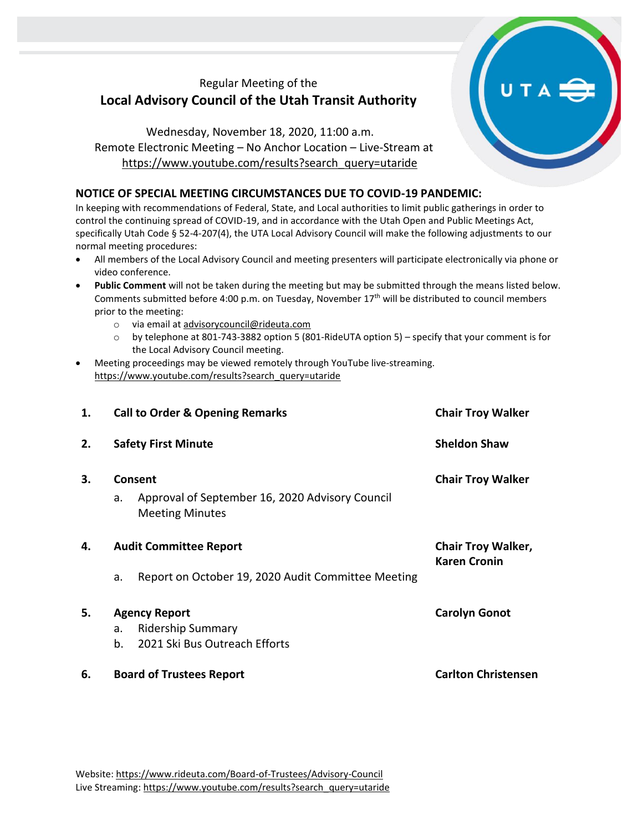## Regular Meeting of the **Local Advisory Council of the Utah Transit Authority**

Wednesday, November 18, 2020, 11:00 a.m. Remote Electronic Meeting – No Anchor Location – Live-Stream at [https://www.youtube.com/results?search\\_query=utaride](https://www.youtube.com/results?search_query=utaride)

## **NOTICE OF SPECIAL MEETING CIRCUMSTANCES DUE TO COVID-19 PANDEMIC:**

In keeping with recommendations of Federal, State, and Local authorities to limit public gatherings in order to control the continuing spread of COVID-19, and in accordance with the Utah Open and Public Meetings Act, specifically Utah Code § 52-4-207(4), the UTA Local Advisory Council will make the following adjustments to our normal meeting procedures:

- All members of the Local Advisory Council and meeting presenters will participate electronically via phone or video conference.
- **Public Comment** will not be taken during the meeting but may be submitted through the means listed below. Comments submitted before 4:00 p.m. on Tuesday, November 17<sup>th</sup> will be distributed to council members prior to the meeting:
	- o via email at [advisorycouncil@rideuta.com](mailto:advisorycouncil@rideuta.com)
	- o by telephone at 801-743-3882 option 5 (801-RideUTA option 5) specify that your comment is for the Local Advisory Council meeting.
- Meeting proceedings may be viewed remotely through YouTube live-streaming. [https://www.youtube.com/results?search\\_query=utaride](https://www.youtube.com/results?search_query=utaride)

| 1. | <b>Call to Order &amp; Opening Remarks</b>                                                    | <b>Chair Troy Walker</b>                         |
|----|-----------------------------------------------------------------------------------------------|--------------------------------------------------|
| 2. | <b>Safety First Minute</b>                                                                    | <b>Sheldon Shaw</b>                              |
| 3. | Consent<br>Approval of September 16, 2020 Advisory Council<br>a.<br><b>Meeting Minutes</b>    | <b>Chair Troy Walker</b>                         |
| 4. | <b>Audit Committee Report</b><br>Report on October 19, 2020 Audit Committee Meeting<br>a.     | <b>Chair Troy Walker,</b><br><b>Karen Cronin</b> |
| 5. | <b>Agency Report</b><br><b>Ridership Summary</b><br>a.<br>b.<br>2021 Ski Bus Outreach Efforts | <b>Carolyn Gonot</b>                             |
| 6. | <b>Board of Trustees Report</b>                                                               | <b>Carlton Christensen</b>                       |